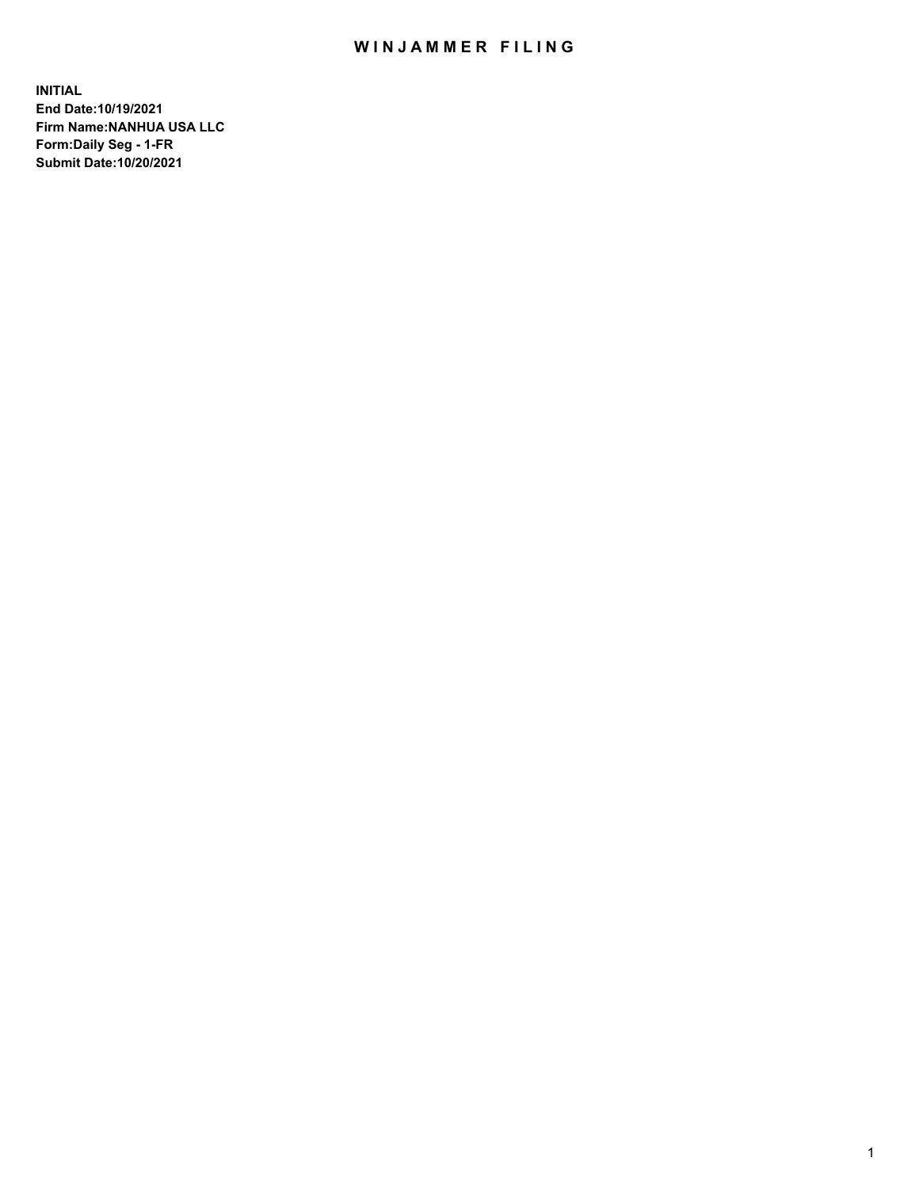## WIN JAMMER FILING

**INITIAL End Date:10/19/2021 Firm Name:NANHUA USA LLC Form:Daily Seg - 1-FR Submit Date:10/20/2021**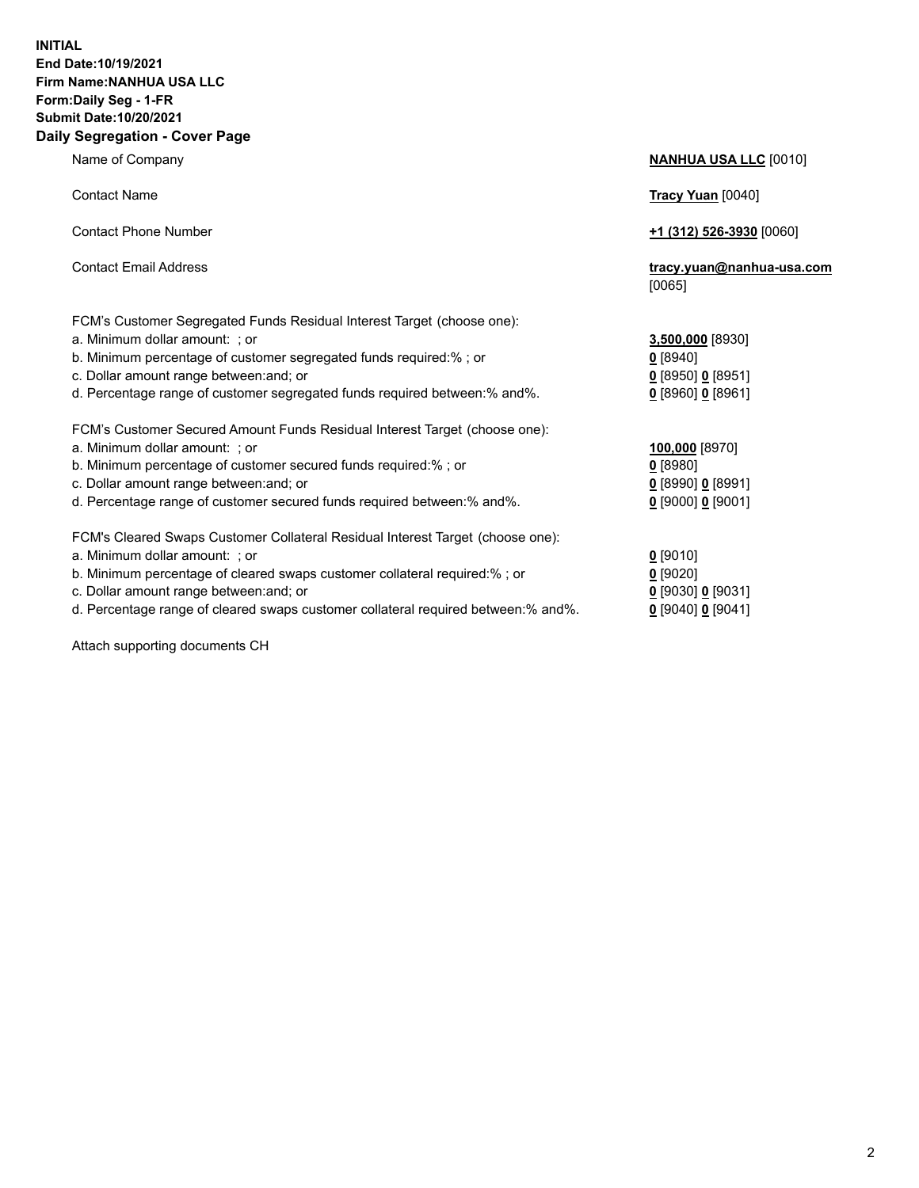### **INITIAL End Date:10/19/2021 Firm Name:NANHUA USA LLC Form:Daily Seg - 1-FR Submit Date:10/20/2021 Daily Segregation - Cover Page**

Name of Company **NANHUA USA LLC** [0010] Contact Name **Tracy Yuan** [0040] Contact Phone Number **+1 (312) 526-3930** [0060] Contact Email Address **tracy.yuan@nanhua-usa.com** [0065] FCM's Customer Segregated Funds Residual Interest Target (choose one): a. Minimum dollar amount: ; or **3,500,000** [8930] b. Minimum percentage of customer segregated funds required:% ; or **0** [8940] c. Dollar amount range between:and; or **0** [8950] **0** [8951] d. Percentage range of customer segregated funds required between:% and%. **0** [8960] **0** [8961] FCM's Customer Secured Amount Funds Residual Interest Target (choose one): a. Minimum dollar amount: ; or **100,000** [8970] b. Minimum percentage of customer secured funds required:% ; or **0** [8980] c. Dollar amount range between:and; or **0** [8990] **0** [8991] d. Percentage range of customer secured funds required between:% and%. **0** [9000] **0** [9001] FCM's Cleared Swaps Customer Collateral Residual Interest Target (choose one): a. Minimum dollar amount: ; or **0** [9010] b. Minimum percentage of cleared swaps customer collateral required:% ; or **0** [9020] c. Dollar amount range between:and; or **0** [9030] **0** [9031]

d. Percentage range of cleared swaps customer collateral required between:% and%. **0** [9040] **0** [9041]

Attach supporting documents CH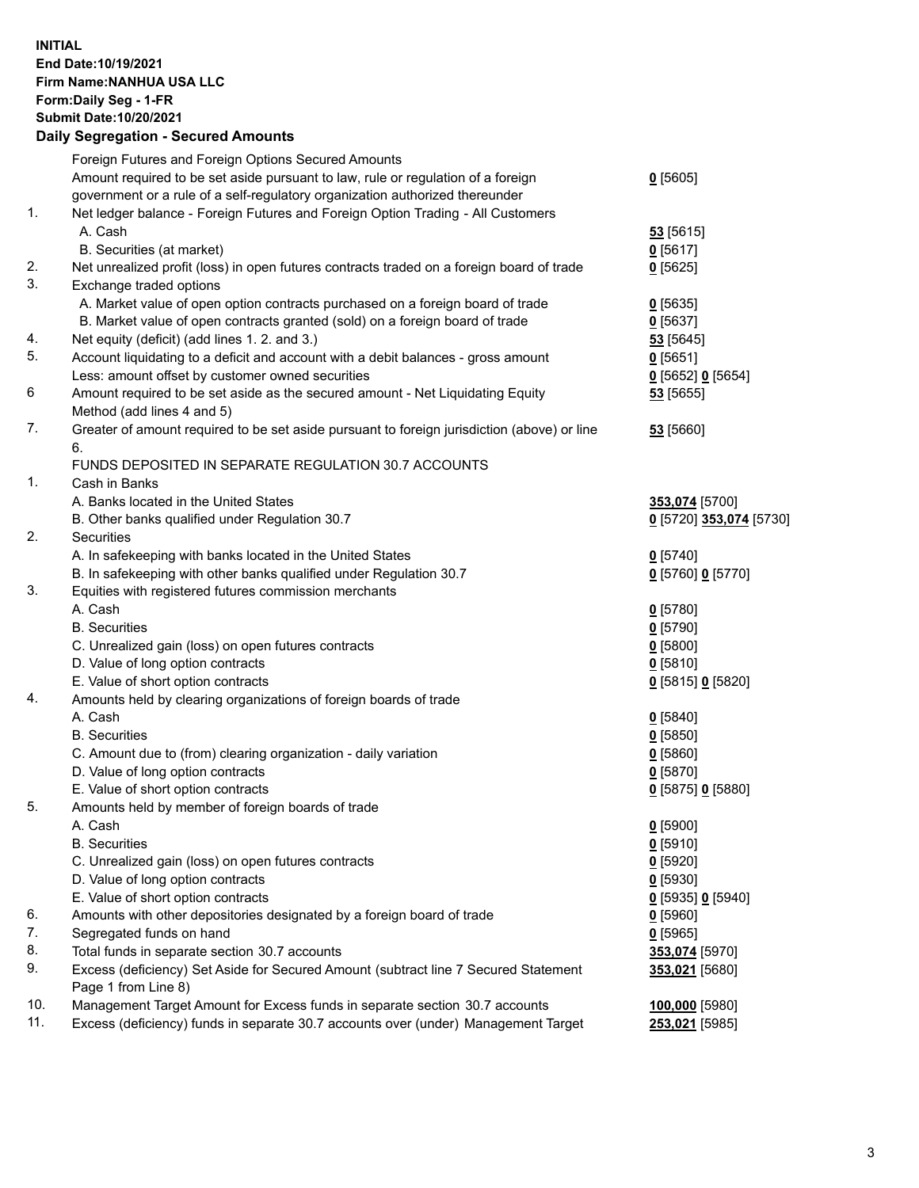## **INITIAL End Date:10/19/2021 Firm Name:NANHUA USA LLC Form:Daily Seg - 1-FR Submit Date:10/20/2021**

# **Daily Segregation - Secured Amounts**

|     | Foreign Futures and Foreign Options Secured Amounts                                                        |                         |
|-----|------------------------------------------------------------------------------------------------------------|-------------------------|
|     | Amount required to be set aside pursuant to law, rule or regulation of a foreign                           | $0$ [5605]              |
|     | government or a rule of a self-regulatory organization authorized thereunder                               |                         |
| 1.  | Net ledger balance - Foreign Futures and Foreign Option Trading - All Customers                            |                         |
|     | A. Cash                                                                                                    | 53 [5615]               |
| 2.  | B. Securities (at market)                                                                                  | $0$ [5617]              |
|     | Net unrealized profit (loss) in open futures contracts traded on a foreign board of trade                  | $0$ [5625]              |
| 3.  | Exchange traded options                                                                                    |                         |
|     | A. Market value of open option contracts purchased on a foreign board of trade                             | $0$ [5635]              |
|     | B. Market value of open contracts granted (sold) on a foreign board of trade                               | $0$ [5637]              |
| 4.  | Net equity (deficit) (add lines 1. 2. and 3.)                                                              | 53 [5645]               |
| 5.  | Account liquidating to a deficit and account with a debit balances - gross amount                          | $0$ [5651]              |
|     | Less: amount offset by customer owned securities                                                           | 0 [5652] 0 [5654]       |
| 6   | Amount required to be set aside as the secured amount - Net Liquidating Equity                             | 53 [5655]               |
|     | Method (add lines 4 and 5)                                                                                 |                         |
| 7.  | Greater of amount required to be set aside pursuant to foreign jurisdiction (above) or line                | 53 [5660]               |
|     | 6.                                                                                                         |                         |
|     | FUNDS DEPOSITED IN SEPARATE REGULATION 30.7 ACCOUNTS                                                       |                         |
| 1.  | Cash in Banks                                                                                              |                         |
|     | A. Banks located in the United States                                                                      | 353,074 [5700]          |
|     | B. Other banks qualified under Regulation 30.7                                                             | 0 [5720] 353,074 [5730] |
| 2.  | Securities                                                                                                 |                         |
|     | A. In safekeeping with banks located in the United States                                                  | $0$ [5740]              |
|     | B. In safekeeping with other banks qualified under Regulation 30.7                                         | 0 [5760] 0 [5770]       |
| 3.  | Equities with registered futures commission merchants                                                      |                         |
|     | A. Cash                                                                                                    | $0$ [5780]              |
|     | <b>B.</b> Securities                                                                                       | $0$ [5790]              |
|     | C. Unrealized gain (loss) on open futures contracts                                                        | $0$ [5800]              |
|     | D. Value of long option contracts                                                                          | $0$ [5810]              |
|     | E. Value of short option contracts                                                                         | 0 [5815] 0 [5820]       |
| 4.  | Amounts held by clearing organizations of foreign boards of trade                                          |                         |
|     | A. Cash                                                                                                    | $0$ [5840]              |
|     | <b>B.</b> Securities                                                                                       | $0$ [5850]              |
|     | C. Amount due to (from) clearing organization - daily variation                                            | 0[5860]                 |
|     | D. Value of long option contracts                                                                          | $0$ [5870]              |
|     | E. Value of short option contracts                                                                         | 0 [5875] 0 [5880]       |
| 5.  | Amounts held by member of foreign boards of trade                                                          |                         |
|     | A. Cash                                                                                                    | $0$ [5900]              |
|     | <b>B.</b> Securities                                                                                       | $0$ [5910]              |
|     | C. Unrealized gain (loss) on open futures contracts                                                        | $0$ [5920]              |
|     | D. Value of long option contracts                                                                          | $0$ [5930]              |
|     | E. Value of short option contracts                                                                         | 0 [5935] 0 [5940]       |
| 6.  | Amounts with other depositories designated by a foreign board of trade                                     | $0$ [5960]              |
| 7.  | Segregated funds on hand                                                                                   | $0$ [5965]              |
| 8.  | Total funds in separate section 30.7 accounts                                                              | 353,074 [5970]          |
| 9.  | Excess (deficiency) Set Aside for Secured Amount (subtract line 7 Secured Statement<br>Page 1 from Line 8) | 353,021 [5680]          |
| 10. | Management Target Amount for Excess funds in separate section 30.7 accounts                                | 100,000 [5980]          |
| 11. | Excess (deficiency) funds in separate 30.7 accounts over (under) Management Target                         | 253,021 [5985]          |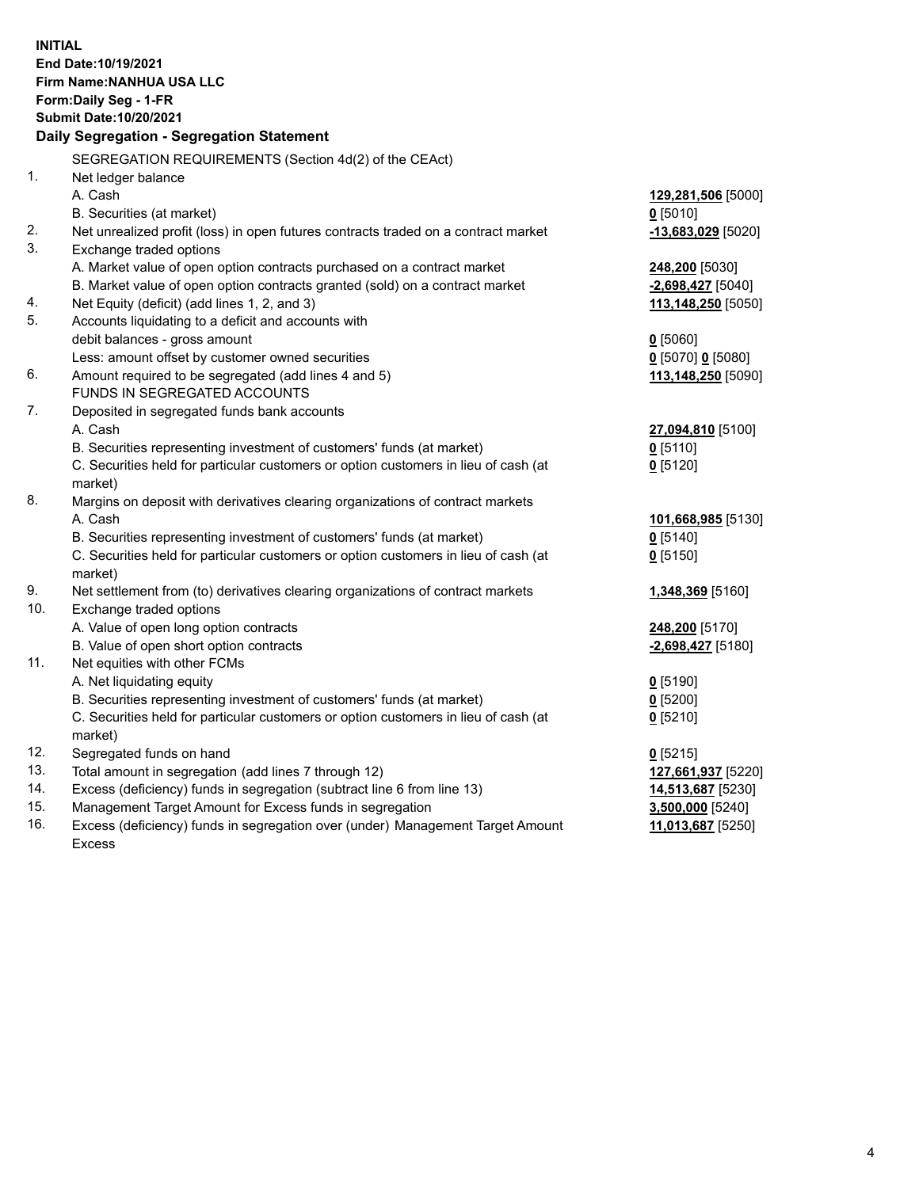**INITIAL End Date:10/19/2021 Firm Name:NANHUA USA LLC Form:Daily Seg - 1-FR Submit Date:10/20/2021 Daily Segregation - Segregation Statement** SEGREGATION REQUIREMENTS (Section 4d(2) of the CEAct) 1. Net ledger balance A. Cash **129,281,506** [5000] B. Securities (at market) **0** [5010] 2. Net unrealized profit (loss) in open futures contracts traded on a contract market **-13,683,029** [5020] 3. Exchange traded options A. Market value of open option contracts purchased on a contract market **248,200** [5030] B. Market value of open option contracts granted (sold) on a contract market **-2,698,427** [5040] 4. Net Equity (deficit) (add lines 1, 2, and 3) **113,148,250** [5050] 5. Accounts liquidating to a deficit and accounts with debit balances - gross amount **0** [5060] Less: amount offset by customer owned securities **0** [5070] **0** [5080] 6. Amount required to be segregated (add lines 4 and 5) **113,148,250** [5090] FUNDS IN SEGREGATED ACCOUNTS 7. Deposited in segregated funds bank accounts A. Cash **27,094,810** [5100] B. Securities representing investment of customers' funds (at market) **0** [5110] C. Securities held for particular customers or option customers in lieu of cash (at market) **0** [5120] 8. Margins on deposit with derivatives clearing organizations of contract markets A. Cash **101,668,985** [5130] B. Securities representing investment of customers' funds (at market) **0** [5140] C. Securities held for particular customers or option customers in lieu of cash (at market) **0** [5150] 9. Net settlement from (to) derivatives clearing organizations of contract markets **1,348,369** [5160] 10. Exchange traded options A. Value of open long option contracts **248,200** [5170] B. Value of open short option contracts **and the set of open short option contracts -2,698,427** [5180] 11. Net equities with other FCMs A. Net liquidating equity **0** [5190] B. Securities representing investment of customers' funds (at market) **0** [5200] C. Securities held for particular customers or option customers in lieu of cash (at market) **0** [5210] 12. Segregated funds on hand **0** [5215] 13. Total amount in segregation (add lines 7 through 12) **127,661,937** [5220] 14. Excess (deficiency) funds in segregation (subtract line 6 from line 13) **14,513,687** [5230] 15. Management Target Amount for Excess funds in segregation **3,500,000** [5240] 16. Excess (deficiency) funds in segregation over (under) Management Target Amount Excess **11,013,687** [5250]